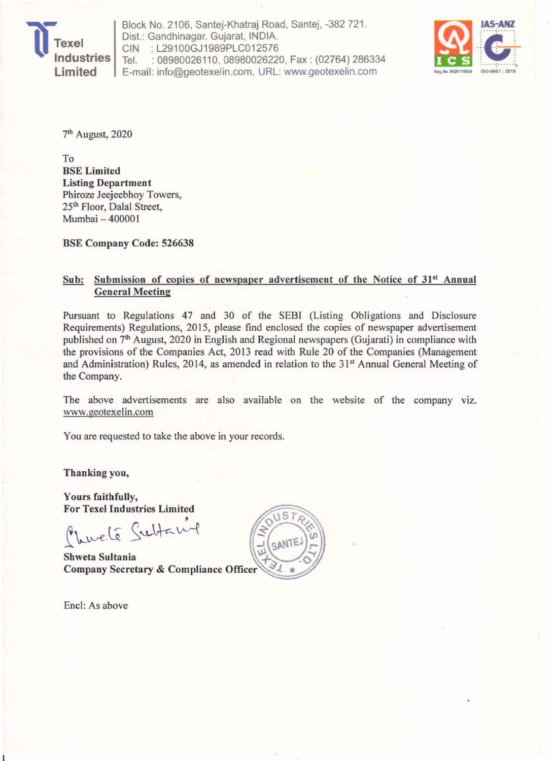

Block No. 2106, Santej-Khatraj Road, Santej, -382 721 . Dist.: Gandhinagar. Gujarat, INDIA. CIN : L29100GJ1989PLC012576 Tel. : 08980026110, 08980026220, Fax: (02764) 286334 E-mail: info@geotexelin.com, URL: www.geotexelin.com



7th August, 2020

To BSE Limited Listing Department Phiroze Jeejeebhoy Towers, 25th Floor, Dalal Street, Mumbai - 400001

BSE Company Code: 526638

#### Sub: Submission of copies of newspaper advertisement of the Notice of 31<sup>st</sup> Annual General Meeting

Pursuant to Regulations 47 and 30 of the SEBI (Listing Obligations and Disclosure Requirements) Regulations, 2015, please find enclosed the copies of newspaper advertisement published on 7<sup>th</sup> August, 2020 in English and Regional newspapers (Gujarati) in compliance with the provisions of the Companies Act, 2013 read with Rule 20 of the Companies (Management and Administration) Rules, 2014, as amended in relation to the 31" Annual General Meeting of the Company.

The above advertisements are also available on the website of the company viz. www.geotexelin.com

You are requested to take the above in your records.

Thanking you,

Yours faithfully, For Texel Industries Limited

Churché Sultan

**Shweta Sultania Company Secretary & Compliance Officer** 

Encl: As above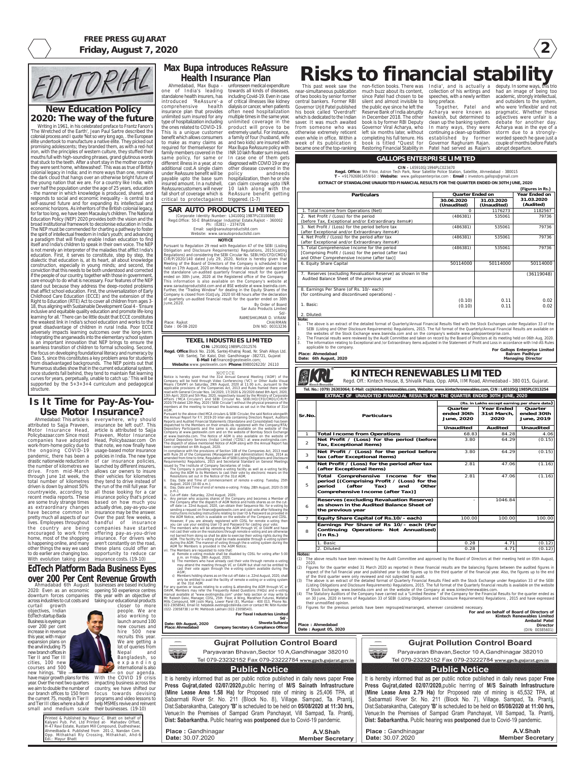**2**





## **FREE PRESS GUJARAT Friday, August 7, 2020**

**Place : Ahmedabad Date : August 05, 2020**



Paryavaran Bhavan, Sector 10 A, Gandhinagar 382010

Tel 079-23232152 Fax 079-23222784 www.gpcb.gujarat.gov.in

#### **Public Notice**

It is hereby informed that as per public notice published in daily news paper Free Press Gujrat, dated 02/07/2020, public herring of M/S Sainath Infrastructure (Mine Lease Area 1.58 Ha) for Proposed rate of mining is 25,406 TPA, at Sabarmati River Sr. No. 211 (Block No. 8), Village. Sampad, Ta. Prantij, Dist:Sabarakantha, Category 'B' is scheduled to be held on 05/08/2020 at 11:30 hrs, Venue: In the Premises of Sampad Gram Panchayat, Vill Sampad, Ta. Prantij, Dist: Sabarkantha. Public hearing was postponed due to Covid-19 pandemic.

Place: Gandhinagar Date: 30.07.2020

A.V.Shah **Member Secretary** 

**Gujrat Pollution Control Board** Paryavaran Bhavan, Sector 10 A, Gandhinagar 382010

Tel 079-23232152 Fax 079-23222784 www.gpcb.gujarat.gov.in

### **Public Notice**

It is hereby informed that as per public notice published in daily news paper Free Press Gujrat, dated 02/07/2020, public herring of M/S Sainath Infrastructure (Mine Lease Area 2.79 Ha) for Proposed rate of mining is 45,532 TPA, at Sabarmati River Sr. No. 211 (Block No. 7), Village. Sampad, Ta. Prantij, Dist:Sabarakantha, Category 'B' is scheduled to be held on 05/08/2020 at 11:00 hrs, Venue: In the Premises of Sampad Gram Panchayat, Vill Sampad, Ta. Prantij, Dist: Sabarkantha. Public hearing was postponed due to Covid-19 pandemic.

Place: Gandhinagar Date: 30.07.2020

A.V.Shah **Member Secretary** 

# **KINTECH RENEWABLES LIMITED** Regd. Off.: Kintech House, 8, Shivalik Plaza, Opp. AMA, IIM Road, Ahmedabad - 380 015, Gujarat. **EXTRACT OF UNAUDITED FINANCIAL RESULTS FOR THE QUARTER ENDED 30TH JUNE, 2020 Tel. No.: (079) 26303064; E-Mail: cs@kintechrenewables.com, Website: www.kintechrenewables.com, CIN : L40105GJ1985PLC013254**

**For and on behalf of Board of Directors of Kintech Renewables Limited Ambalal Patel Director** (DIN: 00385601)

(Listing Obligations and Disclosure Requirements) Regulations, 2015. The full format of the Quarterly financial results is available on the website of Stock Exchange, www.bseindia.com and on the website of the Company at www.kintechrenewables.com.

- The Statutory Auditors of the Company have carried out a "Limited Review " of the Company for the Financial Results for the quarter ended as on 30 June, 2020 in terms of Regulation 33 of SEBI (Listing Obligations and Disclosure Requirements) Regulations , 2015 and have expressed their unmodified opinion.
- Figures for the previous periods have been regrouped/rearranged, wherever considered necessary.

|                      | Net Profit / (Loss) for the period (before<br>$\overline{2}$<br>Tax, Exceptional items)                                                                                                                                                                                                                                                                                                                                                                                                                                                                                                                                                                                            | 3.80   | 64.29   | (0.15) |
|----------------------|------------------------------------------------------------------------------------------------------------------------------------------------------------------------------------------------------------------------------------------------------------------------------------------------------------------------------------------------------------------------------------------------------------------------------------------------------------------------------------------------------------------------------------------------------------------------------------------------------------------------------------------------------------------------------------|--------|---------|--------|
|                      | Net Profit / (Loss) for the period before<br>3<br>tax (after Exceptional items)                                                                                                                                                                                                                                                                                                                                                                                                                                                                                                                                                                                                    | 3.80   | 64.29   | (0.15) |
|                      | Net Profit / (Loss) for the period after tax<br>$\overline{4}$<br>(after Exceptional items)                                                                                                                                                                                                                                                                                                                                                                                                                                                                                                                                                                                        | 2.81   | 47.06   | (1.16) |
|                      | Total<br>Comprehensive<br>Income<br>the<br>for<br>period [(Comprising Profit / (Loss) for the<br>5<br>period<br>(after<br>Tax)<br>and<br>Other<br>Comprehensive Income (after Tax)]                                                                                                                                                                                                                                                                                                                                                                                                                                                                                                | 2.81   | 47.06   | (1.16) |
|                      | <b>Reserves (excluding Revaluation Reserve)</b><br>as shown in the Audited Balance Sheet of<br>6<br>the previous year                                                                                                                                                                                                                                                                                                                                                                                                                                                                                                                                                              |        | 1046.84 |        |
|                      | Equity Share Capital (of Rs.10/- each)<br>$\overline{7}$                                                                                                                                                                                                                                                                                                                                                                                                                                                                                                                                                                                                                           | 100.00 | 100.00  | 100.00 |
|                      | Earnings Per Share of Rs 10/- each (For<br>Continuing Operations- Not Annualised)<br>8<br>(In Rs.)                                                                                                                                                                                                                                                                                                                                                                                                                                                                                                                                                                                 |        |         |        |
|                      | 1. Basic                                                                                                                                                                                                                                                                                                                                                                                                                                                                                                                                                                                                                                                                           | 0.28   | 4.71    | (0.12) |
|                      | 2. Diluted                                                                                                                                                                                                                                                                                                                                                                                                                                                                                                                                                                                                                                                                         | 0.28   | 4.71    | (0.12) |
| Notes:<br>(1)<br>(2) | The above results have been reviewed by the Audit Committee and approved by the Board of Directors at their meeting held on 05th August,<br>2020.<br>Figures for the guarter ended 31 March 2020 as reported in these financial results are the balancing figures between the audited figures in<br>respect of the full financial year and published year to date figures up to the third quarter of the financial year. Also, the figures up to the end<br>of the third quarter were only reviewed and not subjected to audit.<br>(3) The above is an extract of the detailed format of Quarterly Financial Results Filed with the Stock Exchange under Regulation 33 of the SEBI |        |         |        |

MOTICE<br>Notice is hereby given that the 31st Annual General Meeting ('AGM') of the Company will be held through Video Conferencing ('VC') or Other Audio Visual Means ('OAVM') on Saturday, 29th August, 2020 at 11:00 a.m., pursuant to the applicable provisions of the Companies Act, 2013 and Rules framed there under read with General Circular Nos. 14/2020, 17/2020 & 20/2020 dated 8th April, 2020, 13th April, 2020 and 5th May, 2020, respectively issued by the Ministry of Corporate Affairs ('MCA Circulars') and SEBI Circular No. SEBI/HO/CFD/CMD1/CIR/P/ 2020/79 dated 12th May, 2020 ('SEBI Circular') without the physical presence of the members at the meeting to transact the business as set out in the Notice of 31st

AGM. Pursuant to the above cited MCA circulars & SEBI Circular, the said Notice alongwith he Annual Report for F.Y. 2019-20 inter-alia containing Directors Report, Auditors Reports and Audited Financial Statements (Standalone and Consolidated) has bee dispatched to the Members on their emails-ids registered with the Company/RTA/ Depository Participants and the same is also available on the website of the Company at www.geotexelin.com and on the website of Bombay Stock Exchange at www.bseindia.com. The Notice of AGM is also available on the website of entral Depository Services (India) Limited ('CDSL') at www.evo

di.: Mayur Bhatt

The dispatch of above mentioned Notice of AGM along with the Annual Report ha been completed on 6th August, 2020.

In compliance with the provisions of Section 108 of the Companies Act, 2013 rea with Rule 20 of the Companies (Management and Administration) Rules, 2014 as amended from time to time, Regulation 44 of SEBI(Listing Obligations and Disclosure quirements) Regulations, 2015 and Secretarial Standard on General Meetings

**Quarter ended 30th June, 2020 Year Ended 31st March, 2020 Quarter ended 30th June, 2019 Unaudited Audited Unaudited 1 Total Income from Operations** 68.83 84.28 4.06  $3.80$   $64.29$   $(0.15)$ **(Rs. in Lakhs except earning per share data) Sr.No. Particulars**

**CIN:** L29100GJ1989PLC012576

**Regd. Office**:Block No. 2106, Santej-Khatraj Road, Nr. Shah Alloys Ltd. Vill: Santej, Tal: Kalol, Dist: Gandhinagar -382721, Gujarat **E-Mail Id**:finance@geotexelin.com; **Website**:www.geotexelin.com **Phone**:8980026220/ 26110

|                                            | For Texel Industries Limited           |  |
|--------------------------------------------|----------------------------------------|--|
|                                            | $Sd/-$                                 |  |
| Date: 6th August, 2020<br>Place: Ahmedabad | Shweta Sultania                        |  |
|                                            | Company Secretary & Compliance Officer |  |





queries or issues relating to e-voting & attending the AGM through VC or OAVM, Members may refer the Frequently Asked Questions (FAQs) and e-voting<br>manual available at "www.evotingindia.com" under help section or may write to<br>Mr. Rakesh Dalvi, Manager, CDSL, 25th Floor, A Wing, Marathon Futurex Mills Compound, NM Joshi Marg, Lower Parel (E), Mumbai - 400 013, Phone No. 022-23058542, Email Id: helpdesk.evoting@cdslindia.com or contact Mr. Nitin Kunder (022- 23058738 ) or Mr. Mehboob Lakhani (022-23058543).

- issued by The Institute of Company Secretaries of India: i. The Company is providing remote e-voting facility as well as e-voting facility during the AGM to its Members to cast their vote by electronic means on the Resolutions set out in the Notice of the 31st AGM;
- Day, Date and Time of commencement of remote e-voting: Tuesday, 25th August, 2020 (10:00 a.m.);
- Day, Date and Time of end of remote e-voting: Friday, 28th August, 2020 (5:00
- p.m.); iv. Cut-off date :Saturday, 22nd August, 2020;
- v. Any person who acquires shares of the Company and becomes a Member of the Company after the dispatch of AGM Notice and holds shares as on the cutoff date i.e. 22nd August, 2020, can obtain their Sequence No. for e-voting b sending a request on finance@geotexelin.com and cast vote after following the instructions including instructions relating to User ID & Password as provided in the AGM Notice, which is available on the website of the Company and CDSL. However, if you are already registered with CDSL for remote e-voting the you can use your existing User ID and Password for casting your vote; vi. The members who will be attending the AGM through VC or OAVM and have
- not cast their vote on the resolutions through remote e-voting and are otherwise not barred from doing so shall be able to exercise their voting rights during the AGM. The facility for e-voting shall be made available through e-voting system during the AGM. The manner of voting through the e-voting system during the AGM for Members is provided in the AGM Notice;
- The Members are requested to note that:
- a) Remote e-voting module shall be disabled by CDSL for voting after 5:00 p.m. on Friday, 28th August, 2020;
- b) The members who have already cast their vote through remote e-voting may attend the meeting through VC or OAVM but shall not be entitled to the meeting through VC or OAVM but shall not be entitled to cast their vote again through the e-voting system available during the AGM;
- c) Members holding shares as on the cut-off date i.e. 22nd August, 2020, shall only be entitled to avail the facility of remote e-voting or e-voting system at the 31st AGM.

Printed & Published by Mayur C. Bhatt on behalf of Kalyani Pub. Pvt. Ltd Printed at- Mahadev Offset, H-47 Ravi Estate, Rustam Mill Compound, Dudheshwar, Ahmedbada-4. Published from 201-2, Nandan Com. Opp. Mithakhali Rly Crossing, Mithakhali, Ahd-6 Ahmedabad: This article is everywhere, why should attributed to Sajja Praveen, insurance be left out?. This Motor Insurance Head, article is attributed to Sajja Policybazaar.com Since most Praveen, Motor Insurance companies have adopted work-from-home policy due to that note, we now finally have the ongoing COVID-19 pandemic, there has been a drastic nationwide reduction in the number of kilometres we drive. From mid-March through June 1st week, the total number of kilometres driven is down by almost 50% countrywide, according to all those looking for a car recent media reports. These are some truly strange times based on how much you as extraordinary changes have become common in insurance may be the answer. pretty much all aspects of our lives. Employees throughout handful of insurance the country are being encouraged to work from offering pay-as-you-drive home, most of the shopping is happening online, and many other things the way we used to do earlier are changing too. opportunity to reduce car With evolution taking place insurance costs. (19-10) Head, Policybazaar.com On usage-based motor insurance policies in India. The new type of car insurance policies, launched by different insurers, allows car owners to insure their vehicles for kilometres they tend to drive instead of the run of the mill full year. For insurance policy that's priced actually drive, pay-as-you-use Over the past few weeks, a companies have started insurance. For drivers who aren't constantly on the road, these plans could offer an **EdTech Platform Bada Business Eyes over 200 Per Cent Revenue Growth** Ahmadabad 6th August businesses are based including 2020: Even as an economic opening 50 experience centres downturn forces companies this year with an objective of across industries to cut costs and taking our educational products curtail growth objectives, Indian EdTech startup Bada Business is eyeing an over 200 per cent increase in revenue this year, with major expansion plans on the anvil including 75 new branch offices in Tier II and Tier III cities, 100 new courses and 500 new hirings. "We have major growth plans for this year. Over the next two quarters we aim to double the number of our branch offices to 150 from the current 75, mostly in Tier II and Tier III cities where a bulk of small and medium scale their businesses. (19-10) closer to more people. We are also working to launch around 100 new courses and hire 500 new recruits this year. We are getting a lot of queries from Nepal and Bangladesh, so expanding international is also on our agenda. With the COVID 19 crisis impacting business across the country, we have shifted our focus towards devising programs and video lessons to help MSMEs revive and reinvent

# **New Education Policy 2020: The way of the future**

# **Risks to financial stability** This past week saw the non-fiction books. There was India', and is actually a deputy. In some ways, this trio

Writing in 1961, in his celebrated preface to Frantz Fanon's 'The Wretched of the Earth', Jean Paul Sartre described the colonial process and I quote 'Not so very long ago, . the European élite undertook to manufacture a native élite. They picked out promising adolescents; they branded them, as with a red-hot iron, with the principles of western culture, they stuffed their mouths full with high-sounding phrases, grand glutinous words that stuck to the teeth. After a short stay in the mother country they were sent home, whitewashed'. This was as true of British colonial legacy in India; and in more ways than one, remains the dark cloud that hangs over an otherwise bright future of the young nation that we are. For a country like India, with over half the population under the age of 25 years, education - the manner in which knowledge is produced, shared, and responds to social and economic inequality - is central to a self-assured future and for expanding its intellectual and economic horizons. As inheritors of the British colonial legacy, for far too long, we have been Macaulay's children. The National Education Policy (NEP) 2020 provides both the vision and the broad institutional framework to decolonise education in India. The NEP must be commended for charting a pathway to foster the spirit of intellectual freedom in India's youth; and advancing a paradigm that will finally enable Indian education to find itself and India's children to speak in their own voice. The NEP is not merely an interpreter of the maladies that afflict India's education. First, it serves to constitute, step by step, the dialectic that education is, at its heart, all about knowledge construction, especially in young minds; and second, the conviction that this needs to be both understood and corrected if the people of our country, together with those in government, care enough to do what is necessary. Four features of the NEP stand out because they address the deep-rooted problems that afflict school education. First, the universalization of Early Childhood Care Education (ECCE) and the extension of the Right to Education (RTE) Act to cover all children from ages 3- 18, thus aligning with Sustainable Development Goal 4 - 'Ensure inclusive and equitable quality education and promote life-long learning for all.' There can be little doubt that ECCE constitutes the weakest link in India's school education and works to the great disadvantage of children in rural India. Poor ECCE adversely impacts learning outcomes over the long-term. Integrating the anganwadis into the elementary school system is an important innovation that NEP brings to ensure the seamless transition of children to formal schooling. Second, the focus on developing foundational literacy and numeracy by Class 5, since this constitutes a key problem area for students from disadvantaged backgrounds. The NEP points out that 'Numerous studies show that in the current educational system, once students fall behind, they tend to maintain flat learning curves for years, perpetually, unable to catch up.' This will be supported by the  $5+3+3+4$  curriculum and pedagogical structure.

**TEXEL INDUSTRIES LIMITED** Date : 06-08-2020 DIN NO: 00313236

# **Is It Time for Pay-As-You-Use Motor Insurance?**

#### **CIN -** L65910GJ1994PLC023470

**Regd. Office:** 9th Floor, Astron Tech Park, Near Satellite Police Station, Satellite, Ahmedabad - 380015 **T -** +917926861459/60 : **Website:** www.gallopsenterprise.com : **Email :** investors.gallops@gmail.com

#### **GALLOPS ENTERPRISE LIMITED**

**EXTRACT OF STANDALONE UNAUDITED FINANCIAL RESULTS FOR THE QUARTER ENDED ON 30TH JUNE, 2020**

| Year Ended on<br><b>Particulars</b><br><b>Quarter Ended on</b><br>31.03.2020<br>30.06.2020<br>31.03.2020<br>(Audited)<br>(Unaudited)<br>(Unaudited)<br>$\Omega$<br>1176273<br>1. Total Income from Operations (Net)<br>1182567<br>(486381)<br>535061<br>79736<br>2. Net Profit / (Loss) for the period<br>(before Tax, Exceptional and/or Extraordinary items#)<br>3. Net Profit / (Loss) for the period before tax<br>(486381)<br>79736<br>535061<br>(after Exceptional and/or Extraordinary items#)<br>4. Net Profit / (Loss) for the period after tax<br>(486381)<br>535061<br>79736<br>(after Exceptional and/or Extraordinary items#)<br>5. Total Comprehensive Income for the period<br>(486381)<br>79736<br>535061<br>[Comprising Profit / (Loss) for the period (after tax)<br>and Other Comprehensive Income (after tax)]<br>6. Equity Share Capital<br>50114000<br>50114000<br>50114000<br>7. Reserves (excluding Revaluation Reserve) as shown in the<br>(36119048)<br>Audited Balance Sheet of the previous year<br>8. Earnings Per Share (of Rs. 10/- each)<br>(for continuing and discontinued operations) -<br>(0.10)<br>0.11<br>0.02<br>1. Basic:<br>(0.10)<br>0.02<br>0.11<br>2. Diluted:<br>Note:<br>The above is an extract of the detailed format of Quarterly/Annual Financial Results filed with the Stock Exchanges under Regulation 33 of the<br>$1_{\cdot}$<br>SEBI (Listing and Other Disclosure Requirements) Regulations, 2015. The full format of the Quarterly/Annual Financial Results are available on<br>the websites of the Stock Exchange www.bseindia.com and on the company's website www.gallopsenterprise.com.<br>The Financial results were reviewed by the Audit Committee and taken on record by the Board of Directors at its meeting held on 06th Aug, 2020.<br>2.<br>3.<br>The information relating to Exceptional and /or Extraordinary items adjusted in the Statement of Profit and Loss in accordance with Ind-AS Rules<br>applicable to the company.<br>For Gallops Enterprise Limited<br>Balram Padhiyar<br>Place: Ahmedabad<br>Date: 6th August, 2020<br><b>Managing Director</b> |  |  |  | (Figures in Rs.) |
|---------------------------------------------------------------------------------------------------------------------------------------------------------------------------------------------------------------------------------------------------------------------------------------------------------------------------------------------------------------------------------------------------------------------------------------------------------------------------------------------------------------------------------------------------------------------------------------------------------------------------------------------------------------------------------------------------------------------------------------------------------------------------------------------------------------------------------------------------------------------------------------------------------------------------------------------------------------------------------------------------------------------------------------------------------------------------------------------------------------------------------------------------------------------------------------------------------------------------------------------------------------------------------------------------------------------------------------------------------------------------------------------------------------------------------------------------------------------------------------------------------------------------------------------------------------------------------------------------------------------------------------------------------------------------------------------------------------------------------------------------------------------------------------------------------------------------------------------------------------------------------------------------------------------------------------------------------------------------------------------------------------------------------------------------------------------------------------------------------------------------------------|--|--|--|------------------|
|                                                                                                                                                                                                                                                                                                                                                                                                                                                                                                                                                                                                                                                                                                                                                                                                                                                                                                                                                                                                                                                                                                                                                                                                                                                                                                                                                                                                                                                                                                                                                                                                                                                                                                                                                                                                                                                                                                                                                                                                                                                                                                                                       |  |  |  |                  |
|                                                                                                                                                                                                                                                                                                                                                                                                                                                                                                                                                                                                                                                                                                                                                                                                                                                                                                                                                                                                                                                                                                                                                                                                                                                                                                                                                                                                                                                                                                                                                                                                                                                                                                                                                                                                                                                                                                                                                                                                                                                                                                                                       |  |  |  |                  |
|                                                                                                                                                                                                                                                                                                                                                                                                                                                                                                                                                                                                                                                                                                                                                                                                                                                                                                                                                                                                                                                                                                                                                                                                                                                                                                                                                                                                                                                                                                                                                                                                                                                                                                                                                                                                                                                                                                                                                                                                                                                                                                                                       |  |  |  |                  |
|                                                                                                                                                                                                                                                                                                                                                                                                                                                                                                                                                                                                                                                                                                                                                                                                                                                                                                                                                                                                                                                                                                                                                                                                                                                                                                                                                                                                                                                                                                                                                                                                                                                                                                                                                                                                                                                                                                                                                                                                                                                                                                                                       |  |  |  |                  |
|                                                                                                                                                                                                                                                                                                                                                                                                                                                                                                                                                                                                                                                                                                                                                                                                                                                                                                                                                                                                                                                                                                                                                                                                                                                                                                                                                                                                                                                                                                                                                                                                                                                                                                                                                                                                                                                                                                                                                                                                                                                                                                                                       |  |  |  |                  |
|                                                                                                                                                                                                                                                                                                                                                                                                                                                                                                                                                                                                                                                                                                                                                                                                                                                                                                                                                                                                                                                                                                                                                                                                                                                                                                                                                                                                                                                                                                                                                                                                                                                                                                                                                                                                                                                                                                                                                                                                                                                                                                                                       |  |  |  |                  |
|                                                                                                                                                                                                                                                                                                                                                                                                                                                                                                                                                                                                                                                                                                                                                                                                                                                                                                                                                                                                                                                                                                                                                                                                                                                                                                                                                                                                                                                                                                                                                                                                                                                                                                                                                                                                                                                                                                                                                                                                                                                                                                                                       |  |  |  |                  |
|                                                                                                                                                                                                                                                                                                                                                                                                                                                                                                                                                                                                                                                                                                                                                                                                                                                                                                                                                                                                                                                                                                                                                                                                                                                                                                                                                                                                                                                                                                                                                                                                                                                                                                                                                                                                                                                                                                                                                                                                                                                                                                                                       |  |  |  |                  |
|                                                                                                                                                                                                                                                                                                                                                                                                                                                                                                                                                                                                                                                                                                                                                                                                                                                                                                                                                                                                                                                                                                                                                                                                                                                                                                                                                                                                                                                                                                                                                                                                                                                                                                                                                                                                                                                                                                                                                                                                                                                                                                                                       |  |  |  |                  |
|                                                                                                                                                                                                                                                                                                                                                                                                                                                                                                                                                                                                                                                                                                                                                                                                                                                                                                                                                                                                                                                                                                                                                                                                                                                                                                                                                                                                                                                                                                                                                                                                                                                                                                                                                                                                                                                                                                                                                                                                                                                                                                                                       |  |  |  |                  |
|                                                                                                                                                                                                                                                                                                                                                                                                                                                                                                                                                                                                                                                                                                                                                                                                                                                                                                                                                                                                                                                                                                                                                                                                                                                                                                                                                                                                                                                                                                                                                                                                                                                                                                                                                                                                                                                                                                                                                                                                                                                                                                                                       |  |  |  |                  |
|                                                                                                                                                                                                                                                                                                                                                                                                                                                                                                                                                                                                                                                                                                                                                                                                                                                                                                                                                                                                                                                                                                                                                                                                                                                                                                                                                                                                                                                                                                                                                                                                                                                                                                                                                                                                                                                                                                                                                                                                                                                                                                                                       |  |  |  |                  |
|                                                                                                                                                                                                                                                                                                                                                                                                                                                                                                                                                                                                                                                                                                                                                                                                                                                                                                                                                                                                                                                                                                                                                                                                                                                                                                                                                                                                                                                                                                                                                                                                                                                                                                                                                                                                                                                                                                                                                                                                                                                                                                                                       |  |  |  |                  |
|                                                                                                                                                                                                                                                                                                                                                                                                                                                                                                                                                                                                                                                                                                                                                                                                                                                                                                                                                                                                                                                                                                                                                                                                                                                                                                                                                                                                                                                                                                                                                                                                                                                                                                                                                                                                                                                                                                                                                                                                                                                                                                                                       |  |  |  |                  |
|                                                                                                                                                                                                                                                                                                                                                                                                                                                                                                                                                                                                                                                                                                                                                                                                                                                                                                                                                                                                                                                                                                                                                                                                                                                                                                                                                                                                                                                                                                                                                                                                                                                                                                                                                                                                                                                                                                                                                                                                                                                                                                                                       |  |  |  |                  |
|                                                                                                                                                                                                                                                                                                                                                                                                                                                                                                                                                                                                                                                                                                                                                                                                                                                                                                                                                                                                                                                                                                                                                                                                                                                                                                                                                                                                                                                                                                                                                                                                                                                                                                                                                                                                                                                                                                                                                                                                                                                                                                                                       |  |  |  |                  |
|                                                                                                                                                                                                                                                                                                                                                                                                                                                                                                                                                                                                                                                                                                                                                                                                                                                                                                                                                                                                                                                                                                                                                                                                                                                                                                                                                                                                                                                                                                                                                                                                                                                                                                                                                                                                                                                                                                                                                                                                                                                                                                                                       |  |  |  |                  |
|                                                                                                                                                                                                                                                                                                                                                                                                                                                                                                                                                                                                                                                                                                                                                                                                                                                                                                                                                                                                                                                                                                                                                                                                                                                                                                                                                                                                                                                                                                                                                                                                                                                                                                                                                                                                                                                                                                                                                                                                                                                                                                                                       |  |  |  |                  |
|                                                                                                                                                                                                                                                                                                                                                                                                                                                                                                                                                                                                                                                                                                                                                                                                                                                                                                                                                                                                                                                                                                                                                                                                                                                                                                                                                                                                                                                                                                                                                                                                                                                                                                                                                                                                                                                                                                                                                                                                                                                                                                                                       |  |  |  |                  |
|                                                                                                                                                                                                                                                                                                                                                                                                                                                                                                                                                                                                                                                                                                                                                                                                                                                                                                                                                                                                                                                                                                                                                                                                                                                                                                                                                                                                                                                                                                                                                                                                                                                                                                                                                                                                                                                                                                                                                                                                                                                                                                                                       |  |  |  |                  |
|                                                                                                                                                                                                                                                                                                                                                                                                                                                                                                                                                                                                                                                                                                                                                                                                                                                                                                                                                                                                                                                                                                                                                                                                                                                                                                                                                                                                                                                                                                                                                                                                                                                                                                                                                                                                                                                                                                                                                                                                                                                                                                                                       |  |  |  |                  |
|                                                                                                                                                                                                                                                                                                                                                                                                                                                                                                                                                                                                                                                                                                                                                                                                                                                                                                                                                                                                                                                                                                                                                                                                                                                                                                                                                                                                                                                                                                                                                                                                                                                                                                                                                                                                                                                                                                                                                                                                                                                                                                                                       |  |  |  |                  |
|                                                                                                                                                                                                                                                                                                                                                                                                                                                                                                                                                                                                                                                                                                                                                                                                                                                                                                                                                                                                                                                                                                                                                                                                                                                                                                                                                                                                                                                                                                                                                                                                                                                                                                                                                                                                                                                                                                                                                                                                                                                                                                                                       |  |  |  |                  |
|                                                                                                                                                                                                                                                                                                                                                                                                                                                                                                                                                                                                                                                                                                                                                                                                                                                                                                                                                                                                                                                                                                                                                                                                                                                                                                                                                                                                                                                                                                                                                                                                                                                                                                                                                                                                                                                                                                                                                                                                                                                                                                                                       |  |  |  |                  |
|                                                                                                                                                                                                                                                                                                                                                                                                                                                                                                                                                                                                                                                                                                                                                                                                                                                                                                                                                                                                                                                                                                                                                                                                                                                                                                                                                                                                                                                                                                                                                                                                                                                                                                                                                                                                                                                                                                                                                                                                                                                                                                                                       |  |  |  |                  |
|                                                                                                                                                                                                                                                                                                                                                                                                                                                                                                                                                                                                                                                                                                                                                                                                                                                                                                                                                                                                                                                                                                                                                                                                                                                                                                                                                                                                                                                                                                                                                                                                                                                                                                                                                                                                                                                                                                                                                                                                                                                                                                                                       |  |  |  |                  |
|                                                                                                                                                                                                                                                                                                                                                                                                                                                                                                                                                                                                                                                                                                                                                                                                                                                                                                                                                                                                                                                                                                                                                                                                                                                                                                                                                                                                                                                                                                                                                                                                                                                                                                                                                                                                                                                                                                                                                                                                                                                                                                                                       |  |  |  |                  |
|                                                                                                                                                                                                                                                                                                                                                                                                                                                                                                                                                                                                                                                                                                                                                                                                                                                                                                                                                                                                                                                                                                                                                                                                                                                                                                                                                                                                                                                                                                                                                                                                                                                                                                                                                                                                                                                                                                                                                                                                                                                                                                                                       |  |  |  |                  |
|                                                                                                                                                                                                                                                                                                                                                                                                                                                                                                                                                                                                                                                                                                                                                                                                                                                                                                                                                                                                                                                                                                                                                                                                                                                                                                                                                                                                                                                                                                                                                                                                                                                                                                                                                                                                                                                                                                                                                                                                                                                                                                                                       |  |  |  |                  |
|                                                                                                                                                                                                                                                                                                                                                                                                                                                                                                                                                                                                                                                                                                                                                                                                                                                                                                                                                                                                                                                                                                                                                                                                                                                                                                                                                                                                                                                                                                                                                                                                                                                                                                                                                                                                                                                                                                                                                                                                                                                                                                                                       |  |  |  |                  |
|                                                                                                                                                                                                                                                                                                                                                                                                                                                                                                                                                                                                                                                                                                                                                                                                                                                                                                                                                                                                                                                                                                                                                                                                                                                                                                                                                                                                                                                                                                                                                                                                                                                                                                                                                                                                                                                                                                                                                                                                                                                                                                                                       |  |  |  |                  |

# **Max Bupa introduces ReAssure Health Insurance Plan**

Ahmedabad, Max Bupa - unforeseen medical expenditure one of India's leading standalone health insurers, has including Covid-19. Even in case introduced 'ReAssure'-a of critical illnesses like kidney comprehensive health dialysis or cancer, when patients insurance plan that provides often need hospitalization unlimited sum insured for any multiple times in the same year, type of hospitalization including unlimited coverage in the the ones related to COVID-19. This is a unique customer benefit which allows consumers a family of four (husband, wife to make as many claims as and two kids) are insured with required for themselvesor for family members covered in the same policy, for same or different illness in a year, at no diagnosed with COVID 19 or any additional cost.A single claim under ReAssure benefit will be payable upto the base sum insured amount. In a nutshell, ReAssurecustomers will never fall short of coverage which is ReAssure benefit getting critical to protectagainst triggered. (1-7) towards all kinds of diseases, product will prove to be extremely useful. For instance, Max Bupa ReAssure policy with INR 10 lakh floater sum insured. In case one of them gets other disease covered in the policy andneeds hospitalization, then he or she can claim coverage upto INR 10 lakh along with the

#### **SAR AUTO PRODUCTS LIMITEED** (Corporate Identity Number: L34100GJ1987PLC010088) Regd.Office: 50-E Bhaktinagar Industrial Estate,Rajkot - 360002 Ph: (0281) - 2374726 Email: sapl@sarautoproductsltd.com Website: www.sarautoproductsltd.com

**NOTICE**

Pursuant to Regulation 29 read with Regulation 47 of the SEBI (Listing Obligation and Disclosure Requirements) Regulations, 2015(Listing Regulations) and considering the SEBI Circular No. SEBI/HO/CFD/CMD1 CIR/P/2020/140 dated July 29, 2020, Notice is hereby given that Meeting of the Board of Directors of the Company is scheduled to be held on 17th August, 2020 on Monday to inter alia consider and approve the standalone un-audited quarterly financial result for the quarte ended on 30th June, 2020 at the Registered office of the Company. This information is also available on the Company's website at www.sarautoproductsltd.com and at BSE website at www.bseindia.com. Further, the "Trading Window" for dealing in the Equity Shares of the Company is closed from 01stJuly, 2020 till 48 hours after the declaration of quarterly un-audited financial result for the quarter ended on 30th June,2020. Place: Rajkot By Order of Board Sar Auto Products Limited Sd/- RAMESHKUMAR D. VIRANI CHAIRMAN

near-simultaneous publication of two books by senior former central bankers. Former RBI Governor Urjit Patel published his book called 'Overdraft' which is dedicated to the Indian saver. It was much awaited from someone who was otherwise extremely reticent even while in office. Within a

week of its publication it book is titled "Quest for Governor Raghuram Rajan. became one of the top-ranking Restoring Financial Stability in Patel had served as Rajan's much buzz about its content, since Patel had chosen to be silent and almost invisible to the public eye since he left the Reserve Bank of India abruptly in December 2018. The other book is by former RBI Deputy Governor Viral Acharya, who left six months later, without completing his full tenure. His

collection of his writings and had an image of being too speeches, with a newly written long preface.

Together, Patel and Acharya were known as hawkish, but determined to clean up the banking system. In many ways, they were continuing a clean-up tradition established by former

academic, strongly intellectual, and outsiders to the system, who were 'inflexible' and not pragmatic. Whether these adjectives were unfair is a debate for another day. Acharya was in the eye of a storm due to a stronglyworded speech he gave just a couple of months before Patel's abrupt departure.